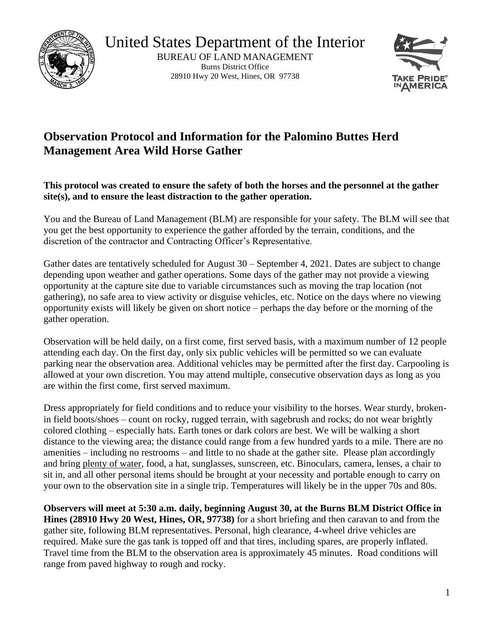

United States Department of the Interior BUREAU OF LAND MANAGEMENT Burns District Office

28910 Hwy 20 West, Hines, OR 97738



## **Observation Protocol and Information for the Palomino Buttes Herd Management Area Wild Horse Gather**

**This protocol was created to ensure the safety of both the horses and the personnel at the gather site(s), and to ensure the least distraction to the gather operation.** 

You and the Bureau of Land Management (BLM) are responsible for your safety. The BLM will see that you get the best opportunity to experience the gather afforded by the terrain, conditions, and the discretion of the contractor and Contracting Officer's Representative.

Gather dates are tentatively scheduled for August 30 – September 4, 2021. Dates are subject to change depending upon weather and gather operations. Some days of the gather may not provide a viewing opportunity at the capture site due to variable circumstances such as moving the trap location (not gathering), no safe area to view activity or disguise vehicles, etc. Notice on the days where no viewing opportunity exists will likely be given on short notice – perhaps the day before or the morning of the gather operation.

Observation will be held daily, on a first come, first served basis, with a maximum number of 12 people attending each day. On the first day, only six public vehicles will be permitted so we can evaluate parking near the observation area. Additional vehicles may be permitted after the first day. Carpooling is allowed at your own discretion. You may attend multiple, consecutive observation days as long as you are within the first come, first served maximum.

 your own to the observation site in a single trip. Temperatures will likely be in the upper 70s and 80s. Dress appropriately for field conditions and to reduce your visibility to the horses. Wear sturdy, brokenin field boots/shoes – count on rocky, rugged terrain, with sagebrush and rocks; do not wear brightly colored clothing – especially hats. Earth tones or dark colors are best. We will be walking a short distance to the viewing area; the distance could range from a few hundred yards to a mile. There are no amenities – including no restrooms – and little to no shade at the gather site. Please plan accordingly and bring plenty of water, food, a hat, sunglasses, sunscreen, etc. Binoculars, camera, lenses, a chair to sit in, and all other personal items should be brought at your necessity and portable enough to carry on

**Observers will meet at 5:30 a.m. daily, beginning August 30, at the Burns BLM District Office in Hines (28910 Hwy 20 West, Hines, OR, 97738)** for a short briefing and then caravan to and from the gather site, following BLM representatives. Personal, high clearance, 4-wheel drive vehicles are required. Make sure the gas tank is topped off and that tires, including spares, are properly inflated. Travel time from the BLM to the observation area is approximately 45 minutes. Road conditions will range from paved highway to rough and rocky.